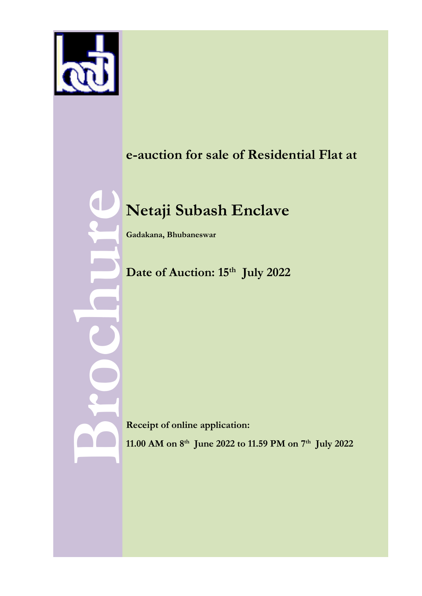

# **e-auction for sale of Residential Flat at**

# **Netaji Subash Enclave** Net<br>Gadaka<br>Date<br>Date<br>Receip<br>11.00 A

**Gadakana, Bhubaneswar**

**Date of Auction: 15th July 2022**

**Receipt of online application:** 

**11.00 AM on 8th June 2022 to 11.59 PM on 7th July 2022**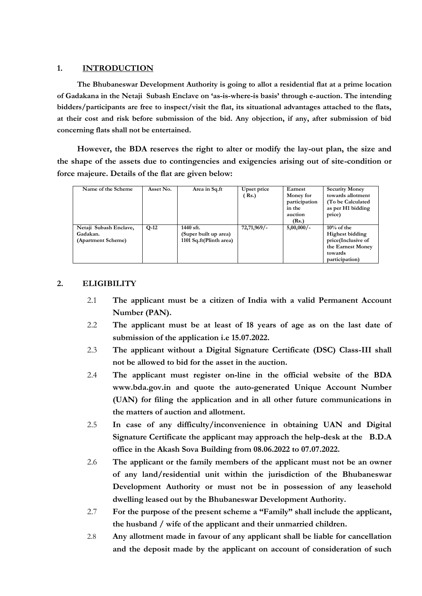### **1. INTRODUCTION**

**The Bhubaneswar Development Authority is going to allot a residential flat at a prime location of Gadakana in the Netaji Subash Enclave on 'as-is-where-is basis' through e-auction. The intending bidders/participants are free to inspect/visit the flat, its situational advantages attached to the flats, at their cost and risk before submission of the bid. Any objection, if any, after submission of bid concerning flats shall not be entertained.**

**However, the BDA reserves the right to alter or modify the lay-out plan, the size and the shape of the assets due to contingencies and exigencies arising out of site-condition or force majeure. Details of the flat are given below:**

| Name of the Scheme     | Asset No. | Area in Sq.ft           | Upset price    | Earnest       | <b>Security Money</b>  |
|------------------------|-----------|-------------------------|----------------|---------------|------------------------|
|                        |           |                         | Rs.            | Money for     | towards allotment      |
|                        |           |                         |                | participation | (To be Calculated)     |
|                        |           |                         |                | in the        | as per H1 bidding      |
|                        |           |                         |                | auction       | price)                 |
|                        |           |                         |                | (Rs.)         |                        |
| Netaji Subash Enclave, | $Q-12$    | 1440 sft.               | $72,71,969/$ - | $5,00,000/-$  | $10\%$ of the          |
| Gadakan.               |           | (Super built up area)   |                |               | <b>Highest bidding</b> |
| (Apartment Scheme)     |           | 1101 Sq.ft(Plinth area) |                |               | price(Inclusive of     |
|                        |           |                         |                |               | the Earnest Money      |
|                        |           |                         |                |               | towards                |
|                        |           |                         |                |               | participation)         |

### **2. ELIGIBILITY**

- 2.1 **The applicant must be a citizen of India with a valid Permanent Account Number (PAN).**
- 2.2 **The applicant must be at least of 18 years of age as on the last date of submission of the application i.e 15.07.2022.**
- 2.3 **The applicant without a Digital Signature Certificate (DSC) Class-III shall not be allowed to bid for the asset in the auction.**
- 2.4 **The applicant must register on-line in the official website of the BDA www.bda.gov.in and quote the auto-generated Unique Account Number (UAN) for filing the application and in all other future communications in the matters of auction and allotment.**
- 2.5 **In case of any difficulty/inconvenience in obtaining UAN and Digital Signature Certificate the applicant may approach the help-desk at the B.D.A office in the Akash Sova Building from 08.06.2022 to 07.07.2022.**
- 2.6 **The applicant or the family members of the applicant must not be an owner of any land/residential unit within the jurisdiction of the Bhubaneswar Development Authority or must not be in possession of any leasehold dwelling leased out by the Bhubaneswar Development Authority.**
- 2.7 **For the purpose of the present scheme a "Family" shall include the applicant, the husband / wife of the applicant and their unmarried children.**
- 2.8 **Any allotment made in favour of any applicant shall be liable for cancellation and the deposit made by the applicant on account of consideration of such**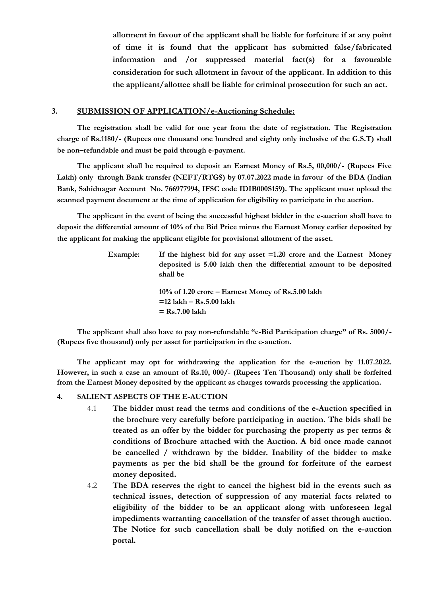**allotment in favour of the applicant shall be liable for forfeiture if at any point of time it is found that the applicant has submitted false/fabricated information and /or suppressed material fact(s) for a favourable consideration for such allotment in favour of the applicant. In addition to this the applicant/allottee shall be liable for criminal prosecution for such an act.** 

### **3. SUBMISSION OF APPLICATION/e-Auctioning Schedule:**

**The registration shall be valid for one year from the date of registration. The Registration charge of Rs.1180/- (Rupees one thousand one hundred and eighty only inclusive of the G.S.T) shall be non–refundable and must be paid through e-payment.**

**The applicant shall be required to deposit an Earnest Money of Rs.5, 00,000/- (Rupees Five Lakh) only through Bank transfer (NEFT/RTGS) by 07.07.2022 made in favour of the BDA (Indian Bank, Sahidnagar Account No. 766977994, IFSC code IDIB000S159). The applicant must upload the scanned payment document at the time of application for eligibility to participate in the auction.**

**The applicant in the event of being the successful highest bidder in the e-auction shall have to deposit the differential amount of 10% of the Bid Price minus the Earnest Money earlier deposited by the applicant for making the applicant eligible for provisional allotment of the asset.**

| Example: | If the highest bid for any asset $=1.20$ crore and the Earnest Money |
|----------|----------------------------------------------------------------------|
|          | deposited is 5.00 lakh then the differential amount to be deposited  |
|          | shall be                                                             |
|          |                                                                      |
|          | $10\%$ of 1.20 crore – Earnest Money of Rs.5.00 lakh                 |
|          | $=12$ lakh – Rs.5.00 lakh                                            |
|          | $=$ Rs.7.00 lakh                                                     |

**The applicant shall also have to pay non-refundable "e-Bid Participation charge" of Rs. 5000/- (Rupees five thousand) only per asset for participation in the e-auction.**

**The applicant may opt for withdrawing the application for the e-auction by 11.07.2022. However, in such a case an amount of Rs.10, 000/- (Rupees Ten Thousand) only shall be forfeited from the Earnest Money deposited by the applicant as charges towards processing the application.**

### **4. SALIENT ASPECTS OF THE E-AUCTION**

- 4.1 **The bidder must read the terms and conditions of the e-Auction specified in the brochure very carefully before participating in auction. The bids shall be treated as an offer by the bidder for purchasing the property as per terms & conditions of Brochure attached with the Auction. A bid once made cannot be cancelled / withdrawn by the bidder. Inability of the bidder to make payments as per the bid shall be the ground for forfeiture of the earnest money deposited.**
- 4.2 **The BDA reserves the right to cancel the highest bid in the events such as technical issues, detection of suppression of any material facts related to eligibility of the bidder to be an applicant along with unforeseen legal impediments warranting cancellation of the transfer of asset through auction. The Notice for such cancellation shall be duly notified on the e-auction portal.**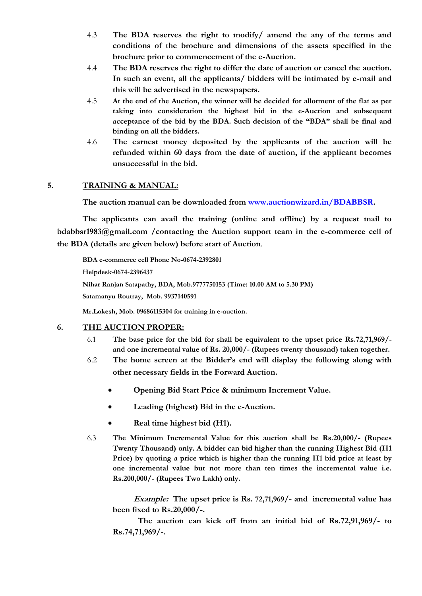- 4.3 **The BDA reserves the right to modify/ amend the any of the terms and conditions of the brochure and dimensions of the assets specified in the brochure prior to commencement of the e-Auction.**
- 4.4 **The BDA reserves the right to differ the date of auction or cancel the auction. In such an event, all the applicants/ bidders will be intimated by e-mail and this will be advertised in the newspapers.**
- 4.5 **At the end of the Auction, the winner will be decided for allotment of the flat as per taking into consideration the highest bid in the e-Auction and subsequent acceptance of the bid by the BDA. Such decision of the "BDA" shall be final and binding on all the bidders.**
- 4.6 **The earnest money deposited by the applicants of the auction will be refunded within 60 days from the date of auction, if the applicant becomes unsuccessful in the bid.**

### **5. TRAINING & MANUAL:**

**The auction manual can be downloaded from [www.auctionwizard.in/BDABBSR.](http://www.auctionwizard.in/BDABBSR)** 

**The applicants can avail the training (online and offline) by a request mail to bdabbsr1983@gmail.com /contacting the Auction support team in the e-commerce cell of the BDA (details are given below) before start of Auction**.

**BDA e-commerce cell Phone No-0674-2392801 Helpdesk-0674-2396437 Nihar Ranjan Satapathy, BDA, Mob.9777750153 (Time: 10.00 AM to 5.30 PM) Satamanyu Routray, Mob. 9937140591**

**Mr.Lokesh, Mob. 09686115304 for training in e-auction.**

### **6. THE AUCTION PROPER:**

- 6.1 **The base price for the bid for shall be equivalent to the upset price Rs.72,71,969/ and one incremental value of Rs. 20,000/- (Rupees twenty thousand) taken together.**
- 6.2 **The home screen at the Bidder's end will display the following along with other necessary fields in the Forward Auction.**
	- **Opening Bid Start Price & minimum Increment Value.**
	- **Leading (highest) Bid in the e-Auction.**
	- **Real time highest bid (H1).**
- 6.3 **The Minimum Incremental Value for this auction shall be Rs.20,000/- (Rupees Twenty Thousand) only. A bidder can bid higher than the running Highest Bid (H1 Price) by quoting a price which is higher than the running H1 bid price at least by one incremental value but not more than ten times the incremental value i.e. Rs.200,000/- (Rupees Two Lakh) only.**

**Example: The upset price is Rs. 72,71,969/- and incremental value has been fixed to Rs.20,000/-.**

**The auction can kick off from an initial bid of Rs.72,91,969/- to Rs.74,71,969/-.**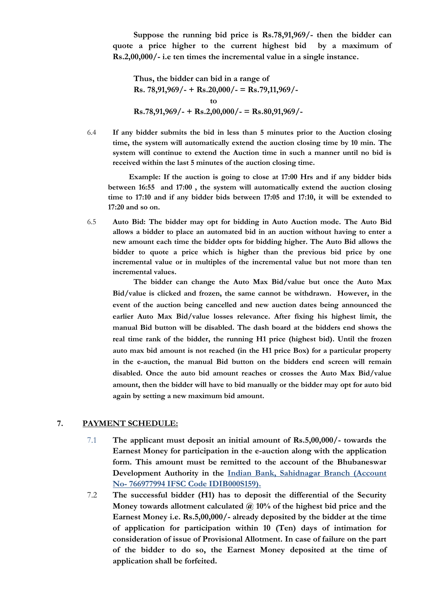**Suppose the running bid price is Rs.78,91,969/- then the bidder can quote a price higher to the current highest bid by a maximum of Rs.2,00,000/- i.e ten times the incremental value in a single instance.** 

**Thus, the bidder can bid in a range of Rs. 78,91,969/- + Rs.20,000/- = Rs.79,11,969/ to Rs.78,91,969/- + Rs.2,00,000/- = Rs.80,91,969/-** 

6.4 **If any bidder submits the bid in less than 5 minutes prior to the Auction closing time, the system will automatically extend the auction closing time by 10 min. The system will continue to extend the Auction time in such a manner until no bid is received within the last 5 minutes of the auction closing time.**

**Example: If the auction is going to close at 17:00 Hrs and if any bidder bids between 16:55 and 17:00 , the system will automatically extend the auction closing time to 17:10 and if any bidder bids between 17:05 and 17:10, it will be extended to 17:20 and so on.**

6.5 **Auto Bid: The bidder may opt for bidding in Auto Auction mode. The Auto Bid allows a bidder to place an automated bid in an auction without having to enter a new amount each time the bidder opts for bidding higher. The Auto Bid allows the bidder to quote a price which is higher than the previous bid price by one incremental value or in multiples of the incremental value but not more than ten incremental values.** 

**The bidder can change the Auto Max Bid/value but once the Auto Max Bid/value is clicked and frozen, the same cannot be withdrawn. However, in the event of the auction being cancelled and new auction dates being announced the earlier Auto Max Bid/value losses relevance. After fixing his highest limit, the manual Bid button will be disabled. The dash board at the bidders end shows the real time rank of the bidder, the running H1 price (highest bid). Until the frozen auto max bid amount is not reached (in the H1 price Box) for a particular property in the e-auction, the manual Bid button on the bidders end screen will remain disabled. Once the auto bid amount reaches or crosses the Auto Max Bid/value amount, then the bidder will have to bid manually or the bidder may opt for auto bid again by setting a new maximum bid amount.**

### **7. PAYMENT SCHEDULE:**

- 7.1 **The applicant must deposit an initial amount of Rs.5,00,000/- towards the Earnest Money for participation in the e-auction along with the application form. This amount must be remitted to the account of the Bhubaneswar Development Authority in the Indian Bank, Sahidnagar Branch (Account No- 766977994 IFSC Code IDIB000S159).**
- 7.2 **The successful bidder (H1) has to deposit the differential of the Security Money towards allotment calculated @ 10% of the highest bid price and the Earnest Money i.e. Rs.5,00,000/- already deposited by the bidder at the time of application for participation within 10 (Ten) days of intimation for consideration of issue of Provisional Allotment. In case of failure on the part of the bidder to do so, the Earnest Money deposited at the time of application shall be forfeited.**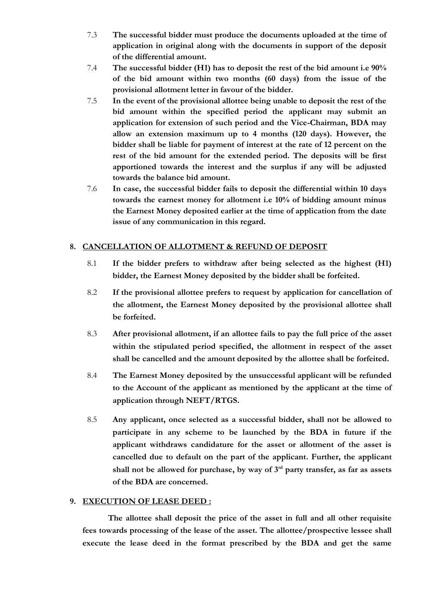- 7.3 **The successful bidder must produce the documents uploaded at the time of application in original along with the documents in support of the deposit of the differential amount.**
- 7.4 **The successful bidder (H1) has to deposit the rest of the bid amount i.e 90% of the bid amount within two months (60 days) from the issue of the provisional allotment letter in favour of the bidder.**
- 7.5 **In the event of the provisional allottee being unable to deposit the rest of the bid amount within the specified period the applicant may submit an application for extension of such period and the Vice-Chairman, BDA may allow an extension maximum up to 4 months (120 days). However, the bidder shall be liable for payment of interest at the rate of 12 percent on the rest of the bid amount for the extended period. The deposits will be first apportioned towards the interest and the surplus if any will be adjusted towards the balance bid amount.**
- 7.6 **In case, the successful bidder fails to deposit the differential within 10 days towards the earnest money for allotment i.e 10% of bidding amount minus the Earnest Money deposited earlier at the time of application from the date issue of any communication in this regard.**

### **8. CANCELLATION OF ALLOTMENT & REFUND OF DEPOSIT**

- 8.1 **If the bidder prefers to withdraw after being selected as the highest (H1) bidder, the Earnest Money deposited by the bidder shall be forfeited.**
- 8.2 **If the provisional allottee prefers to request by application for cancellation of the allotment, the Earnest Money deposited by the provisional allottee shall be forfeited.**
- 8.3 **After provisional allotment, if an allottee fails to pay the full price of the asset within the stipulated period specified, the allotment in respect of the asset shall be cancelled and the amount deposited by the allottee shall be forfeited.**
- 8.4 **The Earnest Money deposited by the unsuccessful applicant will be refunded to the Account of the applicant as mentioned by the applicant at the time of application through NEFT/RTGS.**
- 8.5 **Any applicant, once selected as a successful bidder, shall not be allowed to participate in any scheme to be launched by the BDA in future if the applicant withdraws candidature for the asset or allotment of the asset is cancelled due to default on the part of the applicant. Further, the applicant shall not be allowed for purchase, by way of 3rd party transfer, as far as assets of the BDA are concerned.**

### **9. EXECUTION OF LEASE DEED :**

**The allottee shall deposit the price of the asset in full and all other requisite fees towards processing of the lease of the asset. The allottee/prospective lessee shall execute the lease deed in the format prescribed by the BDA and get the same**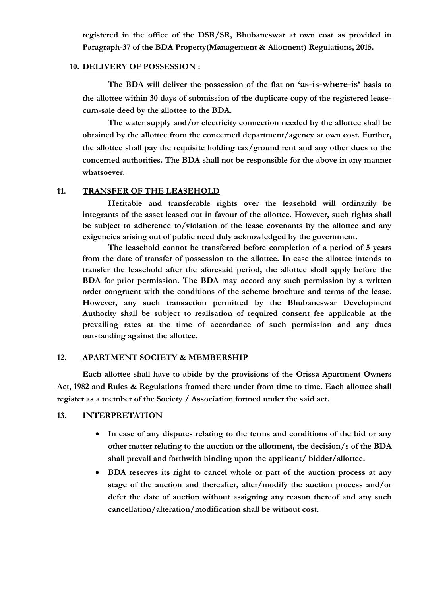**registered in the office of the DSR/SR, Bhubaneswar at own cost as provided in Paragraph-37 of the BDA Property(Management & Allotment) Regulations, 2015.**

### **10. DELIVERY OF POSSESSION :**

**The BDA will deliver the possession of the flat on 'as-is-where-is' basis to the allottee within 30 days of submission of the duplicate copy of the registered leasecum-sale deed by the allottee to the BDA.**

**The water supply and/or electricity connection needed by the allottee shall be obtained by the allottee from the concerned department/agency at own cost. Further, the allottee shall pay the requisite holding tax/ground rent and any other dues to the concerned authorities. The BDA shall not be responsible for the above in any manner whatsoever.**

### **11. TRANSFER OF THE LEASEHOLD**

**Heritable and transferable rights over the leasehold will ordinarily be integrants of the asset leased out in favour of the allottee. However, such rights shall be subject to adherence to/violation of the lease covenants by the allottee and any exigencies arising out of public need duly acknowledged by the government.** 

**The leasehold cannot be transferred before completion of a period of 5 years from the date of transfer of possession to the allottee. In case the allottee intends to transfer the leasehold after the aforesaid period, the allottee shall apply before the BDA for prior permission. The BDA may accord any such permission by a written order congruent with the conditions of the scheme brochure and terms of the lease. However, any such transaction permitted by the Bhubaneswar Development Authority shall be subject to realisation of required consent fee applicable at the prevailing rates at the time of accordance of such permission and any dues outstanding against the allottee.**

### **12. APARTMENT SOCIETY & MEMBERSHIP**

**Each allottee shall have to abide by the provisions of the Orissa Apartment Owners Act, 1982 and Rules & Regulations framed there under from time to time. Each allottee shall register as a member of the Society / Association formed under the said act.** 

### **13. INTERPRETATION**

- **In case of any disputes relating to the terms and conditions of the bid or any other matter relating to the auction or the allotment, the decision/s of the BDA shall prevail and forthwith binding upon the applicant/ bidder/allottee.**
- **BDA reserves its right to cancel whole or part of the auction process at any stage of the auction and thereafter, alter/modify the auction process and/or defer the date of auction without assigning any reason thereof and any such cancellation/alteration/modification shall be without cost.**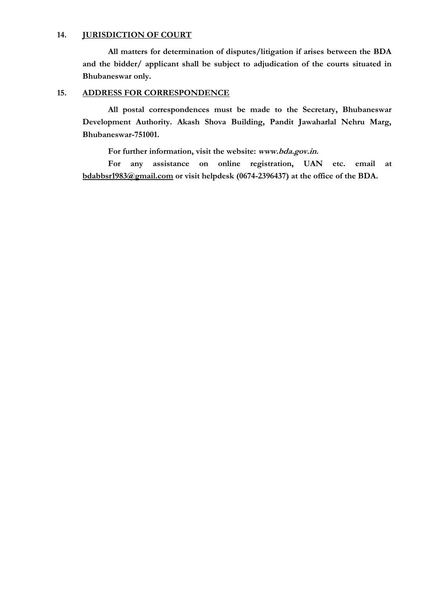### **14. JURISDICTION OF COURT**

**All matters for determination of disputes/litigation if arises between the BDA and the bidder/ applicant shall be subject to adjudication of the courts situated in Bhubaneswar only.**

### **15. ADDRESS FOR CORRESPONDENCE**

**All postal correspondences must be made to the Secretary, Bhubaneswar Development Authority. Akash Shova Building, Pandit Jawaharlal Nehru Marg, Bhubaneswar-751001.**

**For further information, visit the website: www.bda.gov.in.**

**For any assistance on online registration, UAN etc. email at bdabbsr1983@gmail.com or visit helpdesk (0674-2396437) at the office of the BDA.**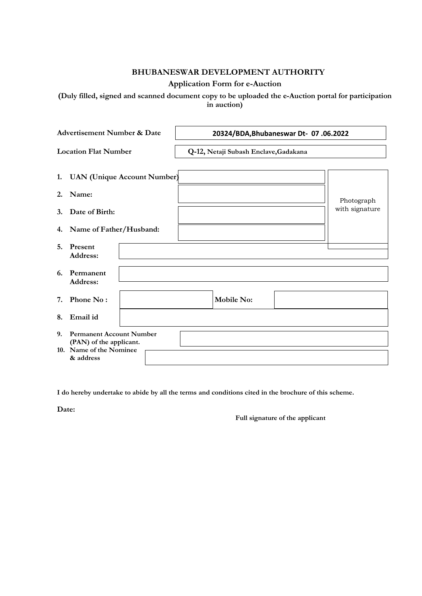### **BHUBANESWAR DEVELOPMENT AUTHORITY**

### **Application Form for e-Auction**

**(Duly filled, signed and scanned document copy to be uploaded the e-Auction portal for participation in auction)**

|    | <b>Advertisement Number &amp; Date</b>                                                |                                       | 20324/BDA, Bhubaneswar Dt- 07.06.2022 |
|----|---------------------------------------------------------------------------------------|---------------------------------------|---------------------------------------|
|    | <b>Location Flat Number</b>                                                           | Q-12, Netaji Subash Enclave, Gadakana |                                       |
|    | 1. UAN (Unique Account Number)                                                        |                                       |                                       |
| 2. | Name:                                                                                 |                                       |                                       |
| 3. | Date of Birth:                                                                        |                                       | Photograph<br>with signature          |
|    | 4. Name of Father/Husband:                                                            |                                       |                                       |
| 5. | Present<br>Address:                                                                   |                                       |                                       |
| 6. | Permanent<br>Address:                                                                 |                                       |                                       |
| 7. | Phone No:                                                                             | <b>Mobile No:</b>                     |                                       |
| 8. | Email id                                                                              |                                       |                                       |
| 9. | <b>Permanent Account Number</b><br>(PAN) of the applicant.<br>10. Name of the Nominee |                                       |                                       |
|    | & address                                                                             |                                       |                                       |

**I do hereby undertake to abide by all the terms and conditions cited in the brochure of this scheme.**

**Date:** 

**Full signature of the applicant**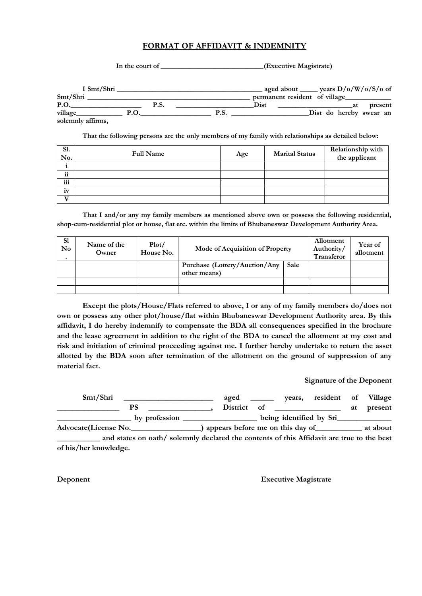### **FORMAT OF AFFIDAVIT & INDEMNITY**

| In the court of   |             | (Executive Magistrate)                                                                                                       |                         |
|-------------------|-------------|------------------------------------------------------------------------------------------------------------------------------|-------------------------|
|                   | I Smt/Shri  | aged about ______ years $D/o/W/o/S/o$ of                                                                                     |                         |
| Smt/Shri          |             | permanent resident of village                                                                                                |                         |
| <b>P.O.</b>       | <b>P.S.</b> | Dist<br><u>at</u> a material and a material and a material and a material and a material and a material and a material and a | present                 |
| village_          | <b>P.O.</b> | P.S.                                                                                                                         | Dist do hereby swear an |
| solemnly affirms, |             |                                                                                                                              |                         |

**That the following persons are the only members of my family with relationships as detailed below:**

| Sl.<br>No. | <b>Full Name</b> | Age | <b>Marital Status</b> | Relationship with<br>the applicant |
|------------|------------------|-----|-----------------------|------------------------------------|
|            |                  |     |                       |                                    |
| ii         |                  |     |                       |                                    |
| iii        |                  |     |                       |                                    |
| iv         |                  |     |                       |                                    |
| . .        |                  |     |                       |                                    |

**That I and/or any my family members as mentioned above own or possess the following residential, shop-cum-residential plot or house, flat etc. within the limits of Bhubaneswar Development Authority Area.**

| S1<br>$\mathbf{N}\mathbf{o}$ | Name of the<br>Owner | Plot/<br>House No. | <b>Mode of Acquisition of Property</b>        |      | Allotment<br>Authority/<br><b>Transferor</b> | Year of<br>allotment |
|------------------------------|----------------------|--------------------|-----------------------------------------------|------|----------------------------------------------|----------------------|
|                              |                      |                    | Purchase (Lottery/Auction/Any<br>other means) | Sale |                                              |                      |
|                              |                      |                    |                                               |      |                                              |                      |
|                              |                      |                    |                                               |      |                                              |                      |

**Except the plots/House/Flats referred to above, I or any of my family members do/does not own or possess any other plot/house/flat within Bhubaneswar Development Authority area. By this affidavit, I do hereby indemnify to compensate the BDA all consequences specified in the brochure and the lease agreement in addition to the right of the BDA to cancel the allotment at my cost and risk and initiation of criminal proceeding against me. I further hereby undertake to return the asset allotted by the BDA soon after termination of the allotment on the ground of suppression of any material fact.**

### **Signature of the Deponent**

| Smt/Shri                                                                                  |  | aged |             | years, resident of Village       |    |          |
|-------------------------------------------------------------------------------------------|--|------|-------------|----------------------------------|----|----------|
| PS                                                                                        |  |      | District of |                                  | at | present  |
| by profession                                                                             |  |      |             | being identified by Sri          |    |          |
| Advocate(License No.                                                                      |  |      |             | appears before me on this day of |    | at about |
| and states on oath/ solemnly declared the contents of this Affidavit are true to the best |  |      |             |                                  |    |          |

**of his/her knowledge.**

**Deponent Executive Magistrate**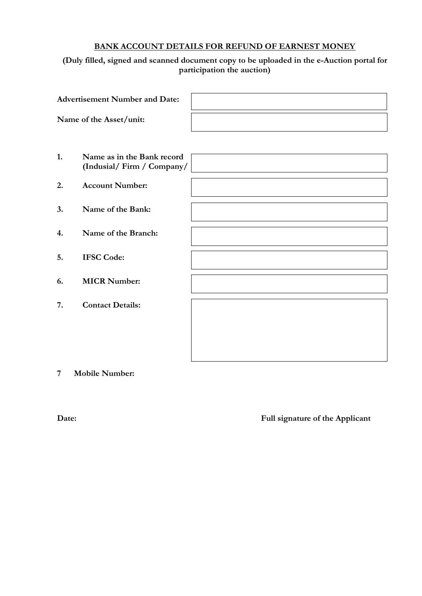### **BANK ACCOUNT DETAILS FOR REFUND OF EARNEST MONEY**

## **(Duly filled, signed and scanned document copy to be uploaded in the e-Auction portal for participation the auction)**

|    | <b>Advertisement Number and Date:</b>                   |  |
|----|---------------------------------------------------------|--|
|    | Name of the Asset/unit:                                 |  |
|    |                                                         |  |
| 1. | Name as in the Bank record<br>(Indusial/Firm / Company/ |  |
| 2. | <b>Account Number:</b>                                  |  |
| 3. | Name of the Bank:                                       |  |
| 4. | Name of the Branch:                                     |  |
| 5. | <b>IFSC Code:</b>                                       |  |
| 6. | <b>MICR Number:</b>                                     |  |
| 7. | <b>Contact Details:</b>                                 |  |
|    |                                                         |  |
|    |                                                         |  |

**7 Mobile Number:**

**Date: Full signature of the Applicant**